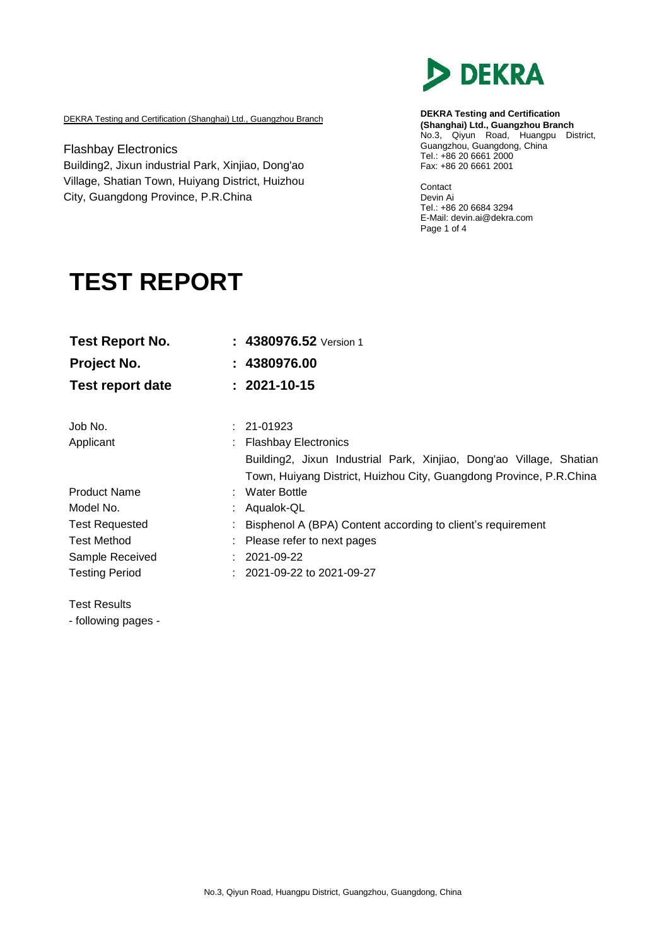

DEKRA Testing and Certification (Shanghai) Ltd., Guangzhou Branch

Flashbay Electronics Building2, Jixun industrial Park, Xinjiao, Dong'ao Village, Shatian Town, Huiyang District, Huizhou City, Guangdong Province, P.R.China

**DEKRA Testing and Certification (Shanghai) Ltd., Guangzhou Branch** No.3, Qiyun Road, Huangpu District, Guangzhou, Guangdong, China Tel.: +86 20 6661 2000 Fax: +86 20 6661 2001

Contact Devin Ai Tel.: +86 20 6684 3294 E-Mail: [devin.ai@dekra.com](mailto:devin.ai@dekra.com) Page 1 of 4

# **TEST REPORT**

| <b>Test Report No.</b>  | : 4380976.52 Version 1                                              |
|-------------------------|---------------------------------------------------------------------|
| Project No.             | : 4380976.00                                                        |
| <b>Test report date</b> | $: 2021 - 10 - 15$                                                  |
| Job No.                 | $: 21-01923$                                                        |
| Applicant               | : Flashbay Electronics                                              |
|                         | Building2, Jixun Industrial Park, Xinjiao, Dong'ao Village, Shatian |
|                         | Town, Huiyang District, Huizhou City, Guangdong Province, P.R.China |
| <b>Product Name</b>     | : Water Bottle                                                      |
| Model No.               | Aqualok-QL                                                          |
| <b>Test Requested</b>   | Bisphenol A (BPA) Content according to client's requirement         |
| <b>Test Method</b>      | Please refer to next pages                                          |
| Sample Received         | $: 2021 - 09 - 22$                                                  |
| <b>Testing Period</b>   | $: 2021 - 09 - 22$ to 2021-09-27                                    |

Test Results

- following pages -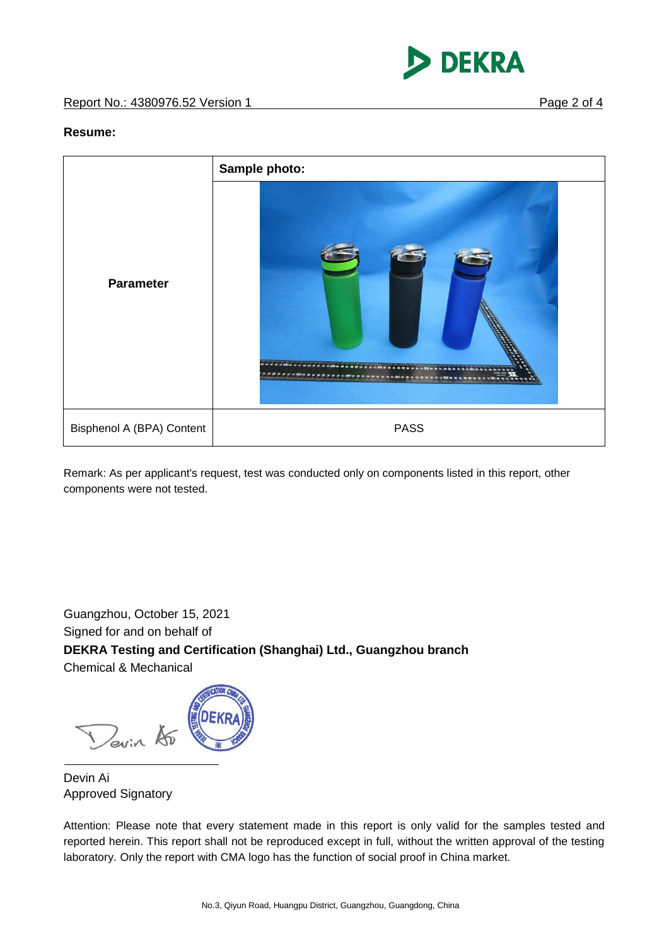

#### **Resume:**



Remark: As per applicant's request, test was conducted only on components listed in this report, other components were not tested.

Guangzhou, October 15, 2021 Signed for and on behalf of **DEKRA Testing and Certification (Shanghai) Ltd., Guangzhou branch** Chemical & Mechanical

Devin A

Devin Ai Approved Signatory

Attention: Please note that every statement made in this report is only valid for the samples tested and reported herein. This report shall not be reproduced except in full, without the written approval of the testing laboratory. Only the report with CMA logo has the function of social proof in China market.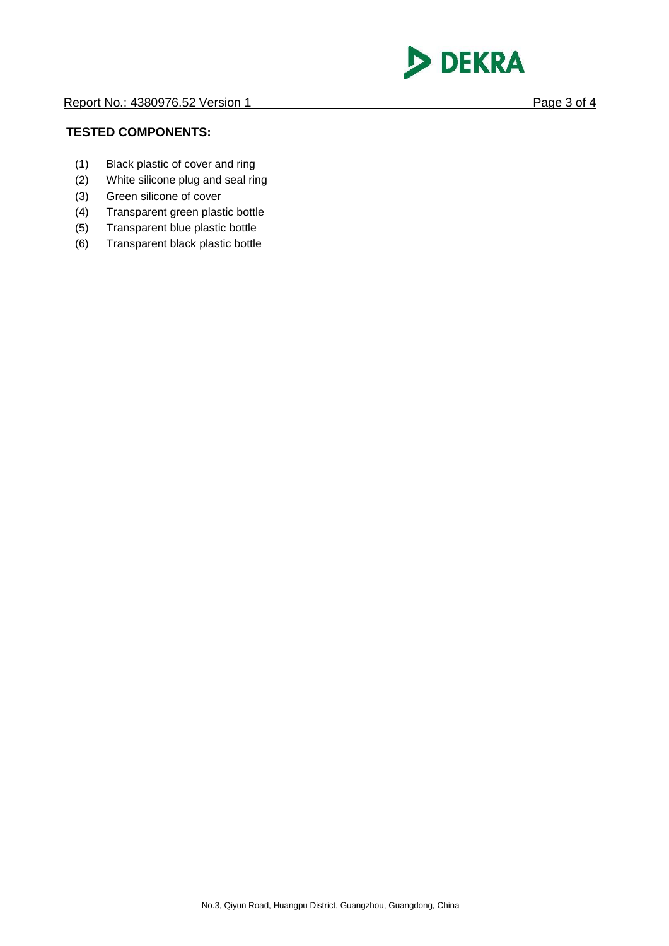

#### **TESTED COMPONENTS:**

- (1) Black plastic of cover and ring
- (2) White silicone plug and seal ring
- (3) Green silicone of cover
- (4) Transparent green plastic bottle
- (5) Transparent blue plastic bottle
- (6) Transparent black plastic bottle